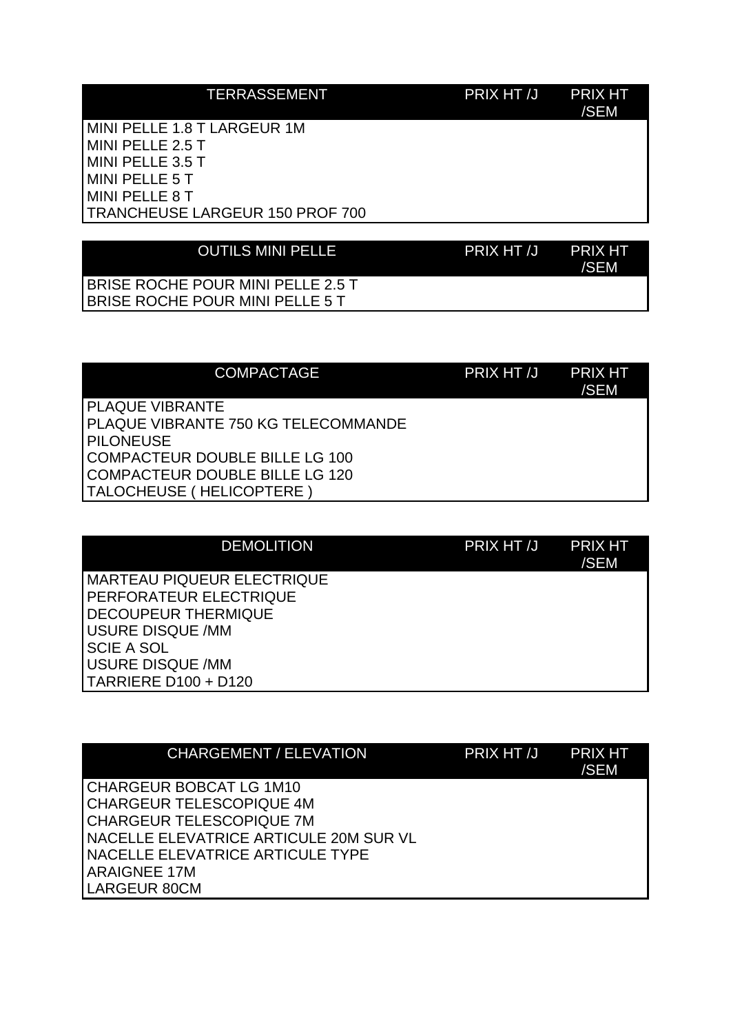## TERRASSEMENT PRIX HT /J PRIX HT

/SEM

MINI PELLE 1.8 T LARGEUR 1M MINI PELLE 2.5 T MINI PELLE 3.5 T MINI PELLE 5 T MINI PELLE 8 T TRANCHEUSE LARGEUR 150 PROF 700

| <b>OUTILS MINI PELLE</b> | PRIX HT /J PRIX HT | /SEM |
|--------------------------|--------------------|------|
|                          |                    |      |

BRISE ROCHE POUR MINI PELLE 2.5 T BRISE ROCHE POUR MINI PELLE 5 T

| <b>COMPACTAGE</b>                                                                                                                                                                  | PRIX HT /J | <b>PRIX HT</b><br>/SEM |
|------------------------------------------------------------------------------------------------------------------------------------------------------------------------------------|------------|------------------------|
| <b>PLAQUE VIBRANTE</b><br>PLAQUE VIBRANTE 750 KG TELECOMMANDE<br><b>IPILONEUSE</b><br>COMPACTEUR DOUBLE BILLE LG 100<br>COMPACTEUR DOUBLE BILLE LG 120<br>TALOCHEUSE (HELICOPTERE) |            |                        |

| <b>DEMOLITION</b>                 | PRIX HT /J | <b>PRIX HT</b><br>/SEM |
|-----------------------------------|------------|------------------------|
| <b>MARTEAU PIQUEUR ELECTRIQUE</b> |            |                        |
| PERFORATEUR ELECTRIQUE            |            |                        |
| <b>DECOUPEUR THERMIQUE</b>        |            |                        |
| <b>USURE DISQUE /MM</b>           |            |                        |
| <b>SCIE A SOL</b>                 |            |                        |
| <b>USURE DISQUE /MM</b>           |            |                        |
| TARRIERE D100 + D120              |            |                        |

|                     | <b>CHARGEMENT / ELEVATION</b>          | PRIX HT /J | <b>PRIX HT</b><br>/SEM |
|---------------------|----------------------------------------|------------|------------------------|
|                     | CHARGEUR BOBCAT LG 1M10                |            |                        |
|                     | <b>CHARGEUR TELESCOPIQUE 4M</b>        |            |                        |
|                     | CHARGEUR TELESCOPIQUE 7M               |            |                        |
|                     | NACELLE ELEVATRICE ARTICULE 20M SUR VL |            |                        |
|                     | NACELLE ELEVATRICE ARTICULE TYPE       |            |                        |
| <b>ARAIGNEE 17M</b> |                                        |            |                        |
| LARGEUR 80CM        |                                        |            |                        |
|                     |                                        |            |                        |